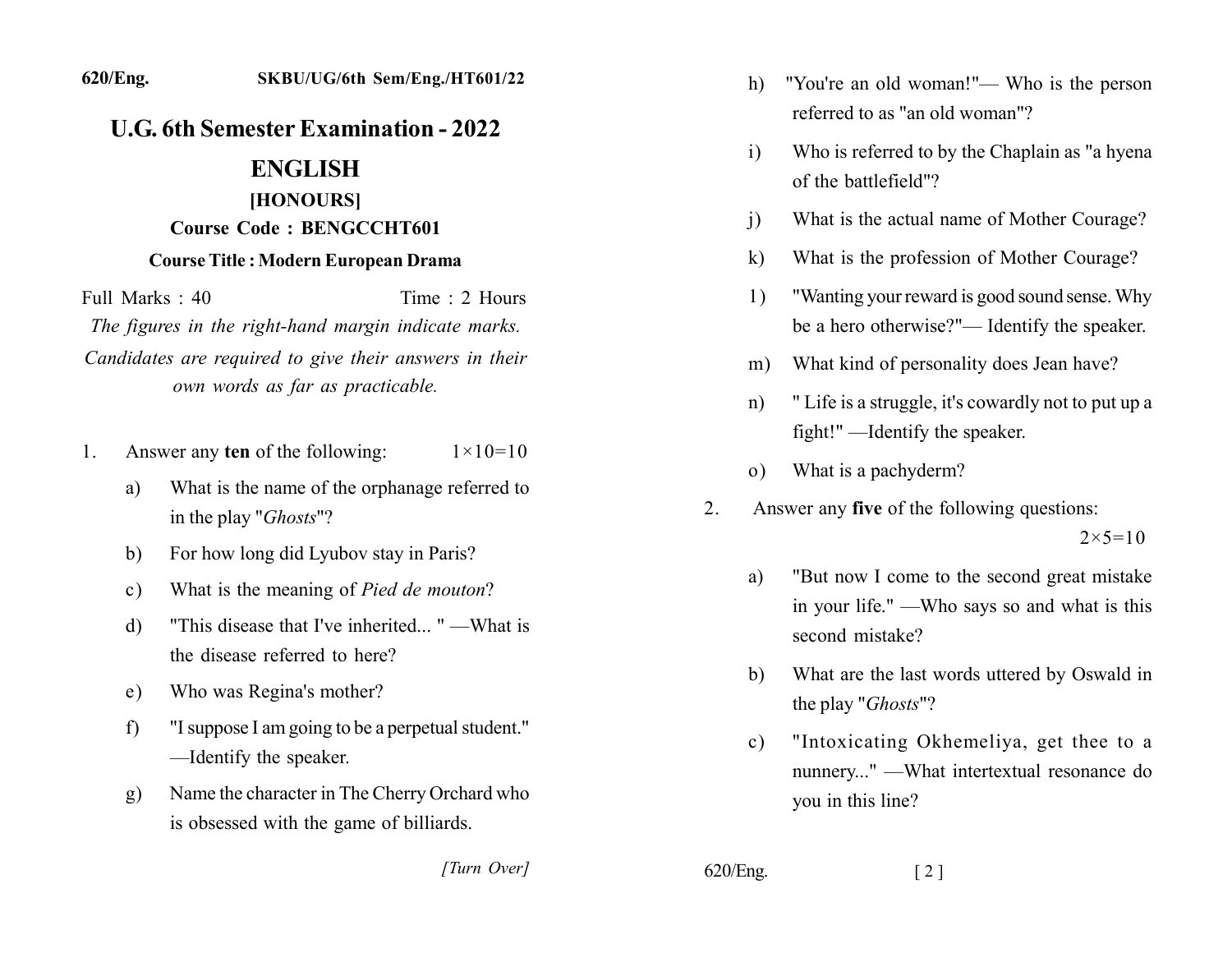## **U.G. 6th Semester Examination - 2022**

## **ENGLISH**

## [HONOURS] **Course Code: BENGCCHT601**

## **Course Title: Modern European Drama**

Full Marks  $\cdot$  40 Time  $\cdot$  2 Hours The figures in the right-hand margin indicate marks.

Candidates are required to give their answers in their own words as far as practicable.

- Answer any ten of the following:  $1 \times 10 = 10$ 1.
	- What is the name of the orphanage referred to a) in the play "*Ghosts*"?
	- For how long did Lyubov stay in Paris? b)
	- What is the meaning of *Pied de mouton*?  $c)$
	- "This disease that I've inherited..." —What is d) the disease referred to here?
	- Who was Regina's mother? e)
	- "I suppose I am going to be a perpetual student."  $f$ -Identify the speaker.
	- Name the character in The Cherry Orchard who  $g)$ is obsessed with the game of billiards.

[Turn Over]

- "You're an old woman!"— Who is the person h) referred to as "an old woman"?
- Who is referred to by the Chaplain as "a hyena  $\mathbf{i}$ of the battlefield"?
- What is the actual name of Mother Courage?  $\mathbf{i}$
- What is the profession of Mother Courage?  $\bf k$
- "Wanting your reward is good sound sense. Why 1) be a hero otherwise?"— Identify the speaker.
- What kind of personality does Jean have?  $m)$
- "Life is a struggle, it's cowardly not to put up a  $n)$ fight!" —Identify the speaker.
- What is a pachyderm?  $(0)$
- $2<sub>1</sub>$ Answer any five of the following questions:

 $2 \times 5 = 10$ 

- "But now I come to the second great mistake" a) in your life." —Who says so and what is this second mistake?
- What are the last words uttered by Oswald in  $b)$ the play "Ghosts"?
- "Intoxicating Okhemeliya, get thee to a  $c)$ nunnery..." - What intertextual resonance do you in this line?

 $620$ /Eng.

 $\lceil 2 \rceil$